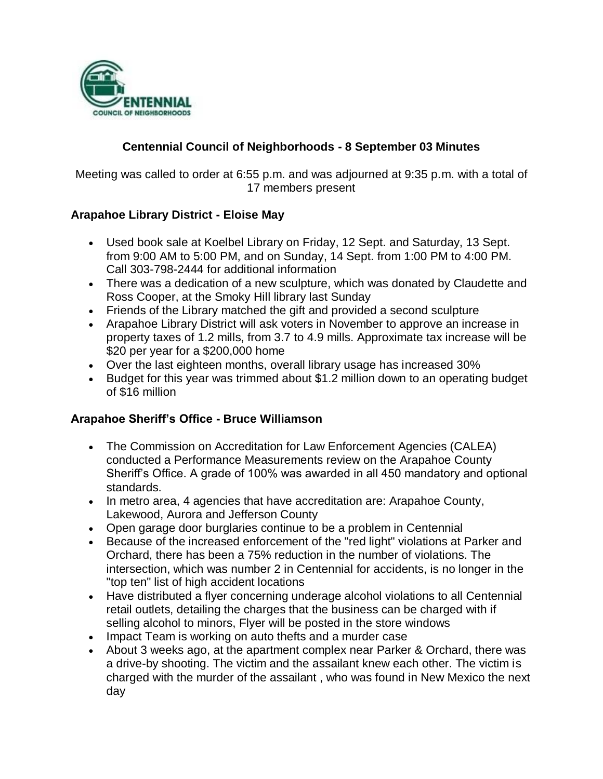

## **Centennial Council of Neighborhoods - 8 September 03 Minutes**

Meeting was called to order at 6:55 p.m. and was adjourned at 9:35 p.m. with a total of 17 members present

### **Arapahoe Library District - Eloise May**

- Used book sale at Koelbel Library on Friday, 12 Sept. and Saturday, 13 Sept. from 9:00 AM to 5:00 PM, and on Sunday, 14 Sept. from 1:00 PM to 4:00 PM. Call 303-798-2444 for additional information
- There was a dedication of a new sculpture, which was donated by Claudette and Ross Cooper, at the Smoky Hill library last Sunday
- Friends of the Library matched the gift and provided a second sculpture
- Arapahoe Library District will ask voters in November to approve an increase in property taxes of 1.2 mills, from 3.7 to 4.9 mills. Approximate tax increase will be \$20 per year for a \$200,000 home
- Over the last eighteen months, overall library usage has increased 30%
- Budget for this year was trimmed about \$1.2 million down to an operating budget of \$16 million

### **Arapahoe Sheriff's Office - Bruce Williamson**

- The Commission on Accreditation for Law Enforcement Agencies (CALEA) conducted a Performance Measurements review on the Arapahoe County Sheriff's Office. A grade of 100% was awarded in all 450 mandatory and optional standards.
- In metro area, 4 agencies that have accreditation are: Arapahoe County, Lakewood, Aurora and Jefferson County
- Open garage door burglaries continue to be a problem in Centennial
- Because of the increased enforcement of the "red light" violations at Parker and Orchard, there has been a 75% reduction in the number of violations. The intersection, which was number 2 in Centennial for accidents, is no longer in the "top ten" list of high accident locations
- Have distributed a flyer concerning underage alcohol violations to all Centennial retail outlets, detailing the charges that the business can be charged with if selling alcohol to minors, Flyer will be posted in the store windows
- Impact Team is working on auto thefts and a murder case
- About 3 weeks ago, at the apartment complex near Parker & Orchard, there was a drive-by shooting. The victim and the assailant knew each other. The victim is charged with the murder of the assailant , who was found in New Mexico the next day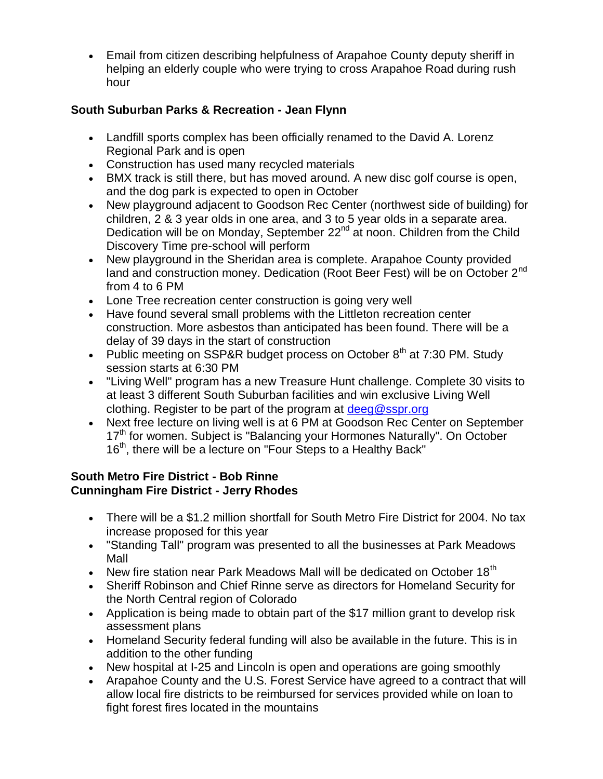Email from citizen describing helpfulness of Arapahoe County deputy sheriff in helping an elderly couple who were trying to cross Arapahoe Road during rush hour

# **South Suburban Parks & Recreation - Jean Flynn**

- Landfill sports complex has been officially renamed to the David A. Lorenz Regional Park and is open
- Construction has used many recycled materials
- BMX track is still there, but has moved around. A new disc golf course is open, and the dog park is expected to open in October
- New playground adjacent to Goodson Rec Center (northwest side of building) for children, 2 & 3 year olds in one area, and 3 to 5 year olds in a separate area. Dedication will be on Monday, September 22<sup>nd</sup> at noon. Children from the Child Discovery Time pre-school will perform
- New playground in the Sheridan area is complete. Arapahoe County provided land and construction money. Dedication (Root Beer Fest) will be on October 2<sup>nd</sup> from 4 to 6 PM
- Lone Tree recreation center construction is going very well
- Have found several small problems with the Littleton recreation center construction. More asbestos than anticipated has been found. There will be a delay of 39 days in the start of construction
- Public meeting on SSP&R budget process on October  $8<sup>th</sup>$  at 7:30 PM. Study session starts at 6:30 PM
- "Living Well" program has a new Treasure Hunt challenge. Complete 30 visits to at least 3 different South Suburban facilities and win exclusive Living Well clothing. Register to be part of the program at [deeg@sspr.org](mailto:deeg@sspr.org)
- Next free lecture on living well is at 6 PM at Goodson Rec Center on September 17<sup>th</sup> for women. Subject is "Balancing your Hormones Naturally". On October 16<sup>th</sup>, there will be a lecture on "Four Steps to a Healthy Back"

### **South Metro Fire District - Bob Rinne Cunningham Fire District - Jerry Rhodes**

- There will be a \$1.2 million shortfall for South Metro Fire District for 2004. No tax increase proposed for this year
- "Standing Tall" program was presented to all the businesses at Park Meadows Mall
- New fire station near Park Meadows Mall will be dedicated on October 18<sup>th</sup>
- Sheriff Robinson and Chief Rinne serve as directors for Homeland Security for the North Central region of Colorado
- Application is being made to obtain part of the \$17 million grant to develop risk assessment plans
- Homeland Security federal funding will also be available in the future. This is in addition to the other funding
- New hospital at I-25 and Lincoln is open and operations are going smoothly
- Arapahoe County and the U.S. Forest Service have agreed to a contract that will allow local fire districts to be reimbursed for services provided while on loan to fight forest fires located in the mountains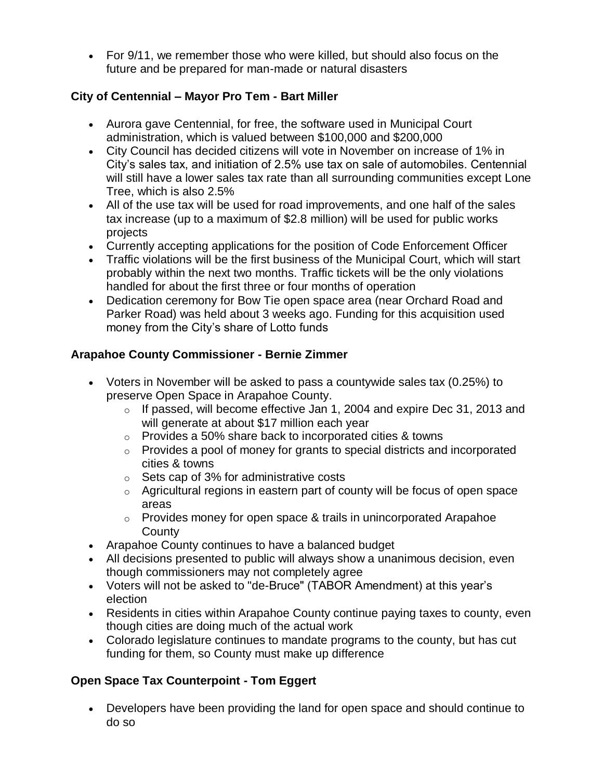For 9/11, we remember those who were killed, but should also focus on the future and be prepared for man-made or natural disasters

# **City of Centennial – Mayor Pro Tem - Bart Miller**

- Aurora gave Centennial, for free, the software used in Municipal Court administration, which is valued between \$100,000 and \$200,000
- City Council has decided citizens will vote in November on increase of 1% in City's sales tax, and initiation of 2.5% use tax on sale of automobiles. Centennial will still have a lower sales tax rate than all surrounding communities except Lone Tree, which is also 2.5%
- All of the use tax will be used for road improvements, and one half of the sales tax increase (up to a maximum of \$2.8 million) will be used for public works projects
- Currently accepting applications for the position of Code Enforcement Officer
- Traffic violations will be the first business of the Municipal Court, which will start probably within the next two months. Traffic tickets will be the only violations handled for about the first three or four months of operation
- Dedication ceremony for Bow Tie open space area (near Orchard Road and Parker Road) was held about 3 weeks ago. Funding for this acquisition used money from the City's share of Lotto funds

# **Arapahoe County Commissioner - Bernie Zimmer**

- Voters in November will be asked to pass a countywide sales tax (0.25%) to preserve Open Space in Arapahoe County.
	- $\circ$  If passed, will become effective Jan 1, 2004 and expire Dec 31, 2013 and will generate at about \$17 million each year
	- $\circ$  Provides a 50% share back to incorporated cities & towns
	- o Provides a pool of money for grants to special districts and incorporated cities & towns
	- o Sets cap of 3% for administrative costs
	- $\circ$  Agricultural regions in eastern part of county will be focus of open space areas
	- $\circ$  Provides money for open space & trails in unincorporated Arapahoe **County**
- Arapahoe County continues to have a balanced budget
- All decisions presented to public will always show a unanimous decision, even though commissioners may not completely agree
- Voters will not be asked to "de-Bruce" (TABOR Amendment) at this year's election
- Residents in cities within Arapahoe County continue paying taxes to county, even though cities are doing much of the actual work
- Colorado legislature continues to mandate programs to the county, but has cut funding for them, so County must make up difference

# **Open Space Tax Counterpoint - Tom Eggert**

 Developers have been providing the land for open space and should continue to do so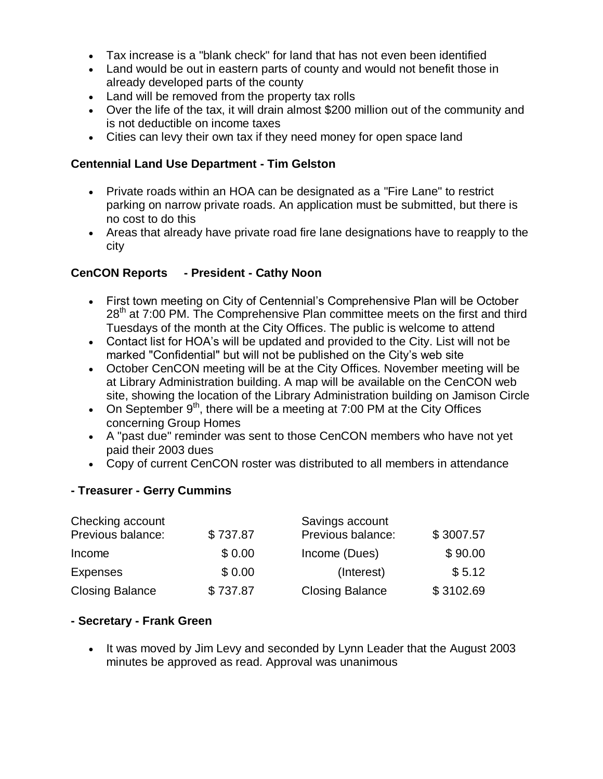- Tax increase is a "blank check" for land that has not even been identified
- Land would be out in eastern parts of county and would not benefit those in already developed parts of the county
- Land will be removed from the property tax rolls
- Over the life of the tax, it will drain almost \$200 million out of the community and is not deductible on income taxes
- Cities can levy their own tax if they need money for open space land

#### **Centennial Land Use Department - Tim Gelston**

- Private roads within an HOA can be designated as a "Fire Lane" to restrict parking on narrow private roads. An application must be submitted, but there is no cost to do this
- Areas that already have private road fire lane designations have to reapply to the city

### **CenCON Reports - President - Cathy Noon**

- First town meeting on City of Centennial's Comprehensive Plan will be October  $28<sup>th</sup>$  at 7:00 PM. The Comprehensive Plan committee meets on the first and third Tuesdays of the month at the City Offices. The public is welcome to attend
- Contact list for HOA's will be updated and provided to the City. List will not be marked "Confidential" but will not be published on the City's web site
- October CenCON meeting will be at the City Offices. November meeting will be at Library Administration building. A map will be available on the CenCON web site, showing the location of the Library Administration building on Jamison Circle
- On September  $9<sup>th</sup>$ , there will be a meeting at 7:00 PM at the City Offices concerning Group Homes
- A "past due" reminder was sent to those CenCON members who have not yet paid their 2003 dues
- Copy of current CenCON roster was distributed to all members in attendance

#### **- Treasurer - Gerry Cummins**

| Checking account       |          | Savings account        |           |
|------------------------|----------|------------------------|-----------|
| Previous balance:      | \$737.87 | Previous balance:      | \$3007.57 |
| Income                 | \$0.00   | Income (Dues)          | \$90.00   |
| <b>Expenses</b>        | \$0.00   | (Interest)             | \$5.12    |
| <b>Closing Balance</b> | \$737.87 | <b>Closing Balance</b> | \$3102.69 |

#### **- Secretary - Frank Green**

• It was moved by Jim Levy and seconded by Lynn Leader that the August 2003 minutes be approved as read. Approval was unanimous